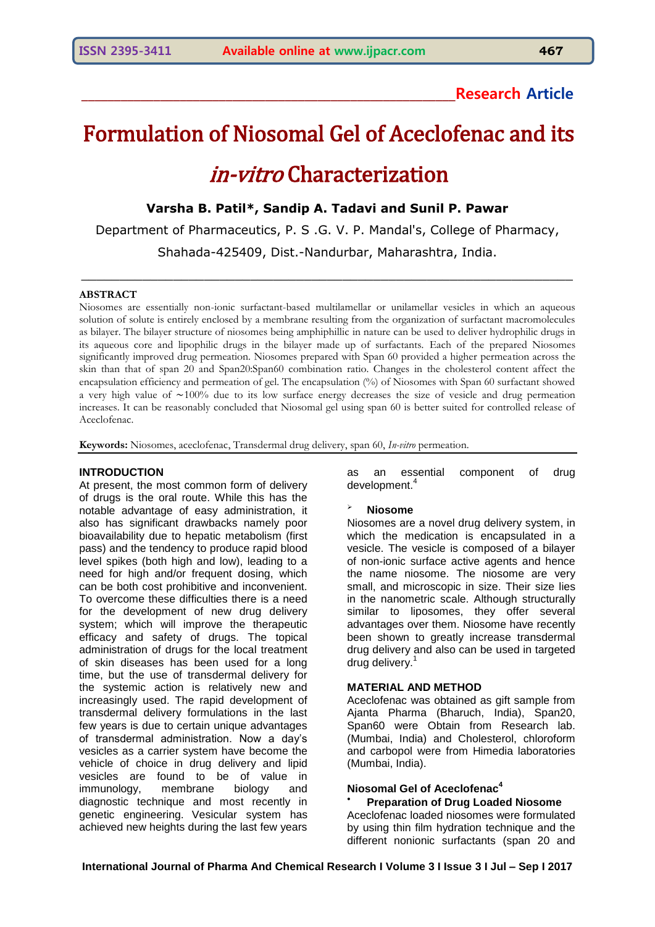# **\_\_\_\_\_\_\_\_\_\_\_\_\_\_\_\_\_\_\_\_\_\_\_\_\_\_\_\_\_\_\_\_\_\_\_\_\_\_\_\_\_\_\_\_\_\_\_\_\_\_\_\_\_\_\_\_\_Research Article**

# Formulation of Niosomal Gel of Aceclofenac and its in-vitro Characterization

**Varsha B. Patil\*, Sandip A. Tadavi and Sunil P. Pawar**

Department of Pharmaceutics, P. S .G. V. P. Mandal's, College of Pharmacy, Shahada-425409, Dist.-Nandurbar, Maharashtra, India.

 $\_$  , and the contribution of the contribution of  $\mathcal{L}_\mathcal{A}$  , and the contribution of  $\mathcal{L}_\mathcal{A}$ 

#### **ABSTRACT**

Niosomes are essentially non-ionic surfactant-based multilamellar or unilamellar vesicles in which an aqueous solution of solute is entirely enclosed by a membrane resulting from the organization of surfactant macromolecules as bilayer. The bilayer structure of niosomes being amphiphillic in nature can be used to deliver hydrophilic drugs in its aqueous core and lipophilic drugs in the bilayer made up of surfactants. Each of the prepared Niosomes significantly improved drug permeation. Niosomes prepared with Span 60 provided a higher permeation across the skin than that of span 20 and Span20:Span60 combination ratio. Changes in the cholesterol content affect the encapsulation efficiency and permeation of gel. The encapsulation (%) of Niosomes with Span 60 surfactant showed a very high value of  $\sim 100\%$  due to its low surface energy decreases the size of vesicle and drug permeation increases. It can be reasonably concluded that Niosomal gel using span 60 is better suited for controlled release of Aceclofenac.

**Keywords:** Niosomes, aceclofenac, Transdermal drug delivery, span 60, *In-vitro* permeation.

#### **INTRODUCTION**

At present, the most common form of delivery of drugs is the oral route. While this has the notable advantage of easy administration, it also has significant drawbacks namely poor bioavailability due to hepatic metabolism (first pass) and the tendency to produce rapid blood level spikes (both high and low), leading to a need for high and/or frequent dosing, which can be both cost prohibitive and inconvenient. To overcome these difficulties there is a need for the development of new drug delivery system; which will improve the therapeutic efficacy and safety of drugs. The topical administration of drugs for the local treatment of skin diseases has been used for a long time, but the use of transdermal delivery for the systemic action is relatively new and increasingly used. The rapid development of transdermal delivery formulations in the last few years is due to certain unique advantages of transdermal administration. Now a day's vesicles as a carrier system have become the vehicle of choice in drug delivery and lipid vesicles are found to be of value in immunology, membrane biology and diagnostic technique and most recently in genetic engineering. Vesicular system has achieved new heights during the last few years

as an essential component of drug development.<sup>4</sup>

#### **Niosome**

Niosomes are a novel drug delivery system, in which the medication is encapsulated in a vesicle. The vesicle is composed of a bilayer of non-ionic surface active agents and hence the name niosome. The niosome are very small, and microscopic in size. Their size lies in the nanometric scale. Although structurally similar to liposomes, they offer several advantages over them. Niosome have recently been shown to greatly increase transdermal drug delivery and also can be used in targeted drug delivery.<sup>1</sup>

#### **MATERIAL AND METHOD**

Aceclofenac was obtained as gift sample from Ajanta Pharma (Bharuch, India), Span20, Span60 were Obtain from Research lab. (Mumbai, India) and Cholesterol, chloroform and carbopol were from Himedia laboratories (Mumbai, India).

# **Niosomal Gel of Aceclofenac<sup>4</sup>**

# **Preparation of Drug Loaded Niosome**

Aceclofenac loaded niosomes were formulated by using thin film hydration technique and the different nonionic surfactants (span 20 and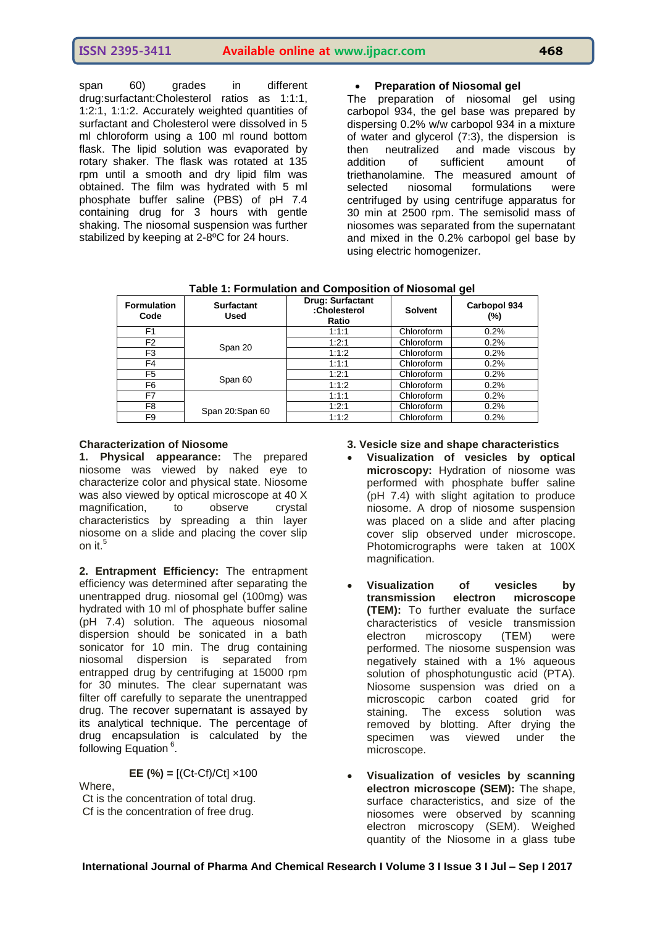span 60) grades in different drug:surfactant:Cholesterol ratios as 1:1:1, 1:2:1, 1:1:2. Accurately weighted quantities of surfactant and Cholesterol were dissolved in 5 ml chloroform using a 100 ml round bottom flask. The lipid solution was evaporated by rotary shaker. The flask was rotated at 135 rpm until a smooth and dry lipid film was obtained. The film was hydrated with 5 ml phosphate buffer saline (PBS) of pH 7.4 containing drug for 3 hours with gentle shaking. The niosomal suspension was further stabilized by keeping at 2-8ºC for 24 hours.

# **Preparation of Niosomal gel**

The preparation of niosomal gel using carbopol 934, the gel base was prepared by dispersing 0.2% w/w carbopol 934 in a mixture of water and glycerol (7:3), the dispersion is then neutralized and made viscous by<br>addition of sufficient amount of of sufficient amount of triethanolamine. The measured amount of selected niosomal formulations were centrifuged by using centrifuge apparatus for 30 min at 2500 rpm. The semisolid mass of niosomes was separated from the supernatant and mixed in the 0.2% carbopol gel base by using electric homogenizer.

| <b>Formulation</b><br>Code | <b>Surfactant</b><br>Used | Drug: Surfactant<br>:Cholesterol<br>Ratio | <b>Solvent</b> | Carbopol 934<br>$(\%)$ |
|----------------------------|---------------------------|-------------------------------------------|----------------|------------------------|
| F <sub>1</sub>             |                           | 1:1:1                                     | Chloroform     | 0.2%                   |
| F <sub>2</sub>             | Span 20                   | 1:2:1                                     | Chloroform     | 0.2%                   |
| F3                         |                           | 1:1:2                                     | Chloroform     | 0.2%                   |
| F4                         |                           | 1:1:1                                     | Chloroform     | 0.2%                   |
| F5                         | Span 60                   | 1:2:1                                     | Chloroform     | 0.2%                   |
| F6                         |                           | 1:1:2                                     | Chloroform     | 0.2%                   |
| F7                         |                           | 1:1:1                                     | Chloroform     | 0.2%                   |
| F8                         | Span 20:Span 60           | 1:2:1                                     | Chloroform     | 0.2%                   |
| F9                         |                           | 1:1:2                                     | Chloroform     | 0.2%                   |

 **Table 1: Formulation and Composition of Niosomal gel**

## **Characterization of Niosome**

**1. Physical appearance:** The prepared niosome was viewed by naked eye to characterize color and physical state. Niosome was also viewed by optical microscope at 40 X<br>magnification, to observe crystal magnification, to observe crystal characteristics by spreading a thin layer niosome on a slide and placing the cover slip on it.<sup>5</sup>

**2. Entrapment Efficiency:** The entrapment efficiency was determined after separating the unentrapped drug. niosomal gel (100mg) was hydrated with 10 ml of phosphate buffer saline (pH 7.4) solution. The aqueous niosomal dispersion should be sonicated in a bath sonicator for 10 min. The drug containing niosomal dispersion is separated from entrapped drug by centrifuging at 15000 rpm for 30 minutes. The clear supernatant was filter off carefully to separate the unentrapped drug. The recover supernatant is assayed by its analytical technique. The percentage of drug encapsulation is calculated by the following Equation<sup>6</sup>.

**EE (%) =**  $[(Ct - Cf)/Ct] \times 100$ 

Where, Ct is the concentration of total drug. Cf is the concentration of free drug.

# **3. Vesicle size and shape characteristics**

- **Visualization of vesicles by optical microscopy:** Hydration of niosome was performed with phosphate buffer saline (pH 7.4) with slight agitation to produce niosome. A drop of niosome suspension was placed on a slide and after placing cover slip observed under microscope. Photomicrographs were taken at 100X magnification.
- **Visualization of vesicles by transmission electron microscope (TEM):** To further evaluate the surface characteristics of vesicle transmission electron microscopy (TEM) were performed. The niosome suspension was negatively stained with a 1% aqueous solution of phosphotungustic acid (PTA). Niosome suspension was dried on a microscopic carbon coated grid for staining. The excess solution was removed by blotting. After drying the specimen was viewed under the microscope.
- **Visualization of vesicles by scanning electron microscope (SEM):** The shape, surface characteristics, and size of the niosomes were observed by scanning electron microscopy (SEM). Weighed quantity of the Niosome in a glass tube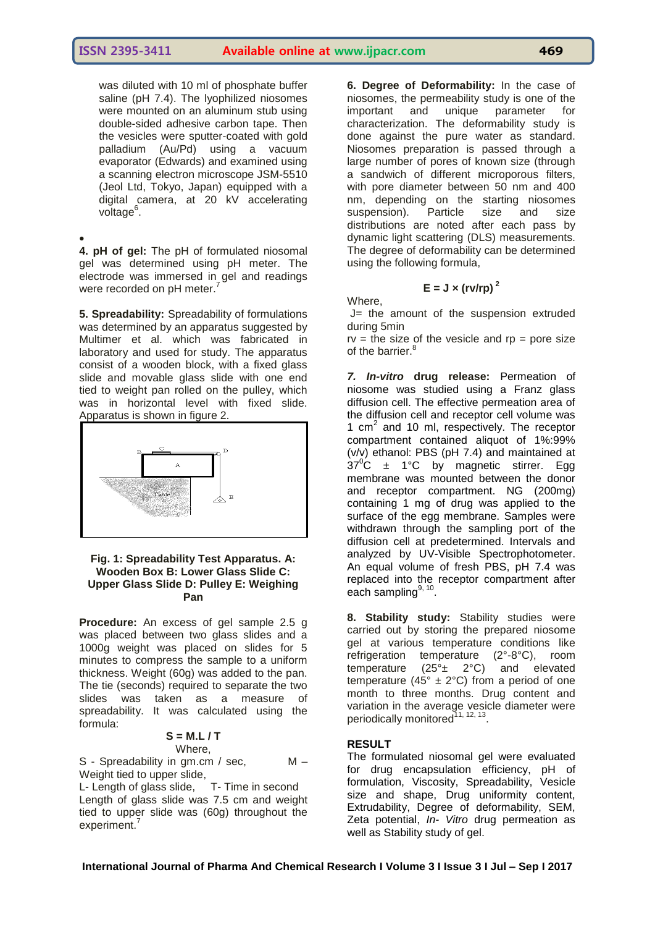was diluted with 10 ml of phosphate buffer saline (pH 7.4). The lyophilized niosomes were mounted on an aluminum stub using double-sided adhesive carbon tape. Then the vesicles were sputter-coated with gold palladium (Au/Pd) using a vacuum evaporator (Edwards) and examined using a scanning electron microscope JSM-5510 (Jeol Ltd, Tokyo, Japan) equipped with a digital camera, at 20 kV accelerating voltage<sup>6</sup>.

 $\bullet$ **4. pH of gel:** The pH of formulated niosomal gel was determined using pH meter. The electrode was immersed in gel and readings were recorded on pH meter.<sup>7</sup>

**5. Spreadability:** Spreadability of formulations was determined by an apparatus suggested by Multimer et al. which was fabricated in laboratory and used for study. The apparatus consist of a wooden block, with a fixed glass slide and movable glass slide with one end tied to weight pan rolled on the pulley, which was in horizontal level with fixed slide. Apparatus is shown in figure 2.



## **Fig. 1: Spreadability Test Apparatus. A: Wooden Box B: Lower Glass Slide C: Upper Glass Slide D: Pulley E: Weighing Pan**

**Procedure:** An excess of gel sample 2.5 g was placed between two glass slides and a 1000g weight was placed on slides for 5 minutes to compress the sample to a uniform thickness. Weight (60g) was added to the pan. The tie (seconds) required to separate the two slides was taken as a measure of spreadability. It was calculated using the formula:

#### **S = M.L / T** Where,

S - Spreadability in gm.cm / sec, M -Weight tied to upper slide,

L- Length of glass slide, T- Time in second Length of glass slide was 7.5 cm and weight tied to upper slide was (60g) throughout the experiment.

**6. Degree of Deformability:** In the case of niosomes, the permeability study is one of the important and unique parameter for characterization. The deformability study is done against the pure water as standard. Niosomes preparation is passed through a large number of pores of known size (through a sandwich of different microporous filters, with pore diameter between 50 nm and 400 nm, depending on the starting niosomes suspension). Particle size and size distributions are noted after each pass by dynamic light scattering (DLS) measurements. The degree of deformability can be determined using the following formula,

# $E = J \times (rv/rp)^2$

Where

J= the amount of the suspension extruded during 5min

 $rv =$  the size of the vesicle and  $rp =$  pore size of the barrier.<sup>8</sup>

*7. In-vitro* **drug release:** Permeation of niosome was studied using a Franz glass diffusion cell. The effective permeation area of the diffusion cell and receptor cell volume was 1 cm<sup>2</sup> and 10 ml, respectively. The receptor compartment contained aliquot of 1%:99% (v/v) ethanol: PBS (pH 7.4) and maintained at  $37^{\circ}$ C  $\pm$  1°C by magnetic stirrer. Egg membrane was mounted between the donor and receptor compartment. NG (200mg) containing 1 mg of drug was applied to the surface of the egg membrane. Samples were withdrawn through the sampling port of the diffusion cell at predetermined. Intervals and analyzed by UV-Visible Spectrophotometer. An equal volume of fresh PBS, pH 7.4 was replaced into the receptor compartment after each sampling<sup>9, 10</sup>.

**8. Stability study:** Stability studies were carried out by storing the prepared niosome gel at various temperature conditions like refrigeration temperature (2°-8°C), room temperature  $(25^\circ \pm 2^\circ \text{C})$  and elevated temperature (45°  $\pm$  2°C) from a period of one month to three months. Drug content and variation in the average vesicle diameter were periodically monitored<sup>11, 12, 13</sup>.

# **RESULT**

The formulated niosomal gel were evaluated for drug encapsulation efficiency, pH of formulation, Viscosity, Spreadability, Vesicle size and shape, Drug uniformity content, Extrudability, Degree of deformability, SEM, Zeta potential, *In- Vitro* drug permeation as well as Stability study of gel.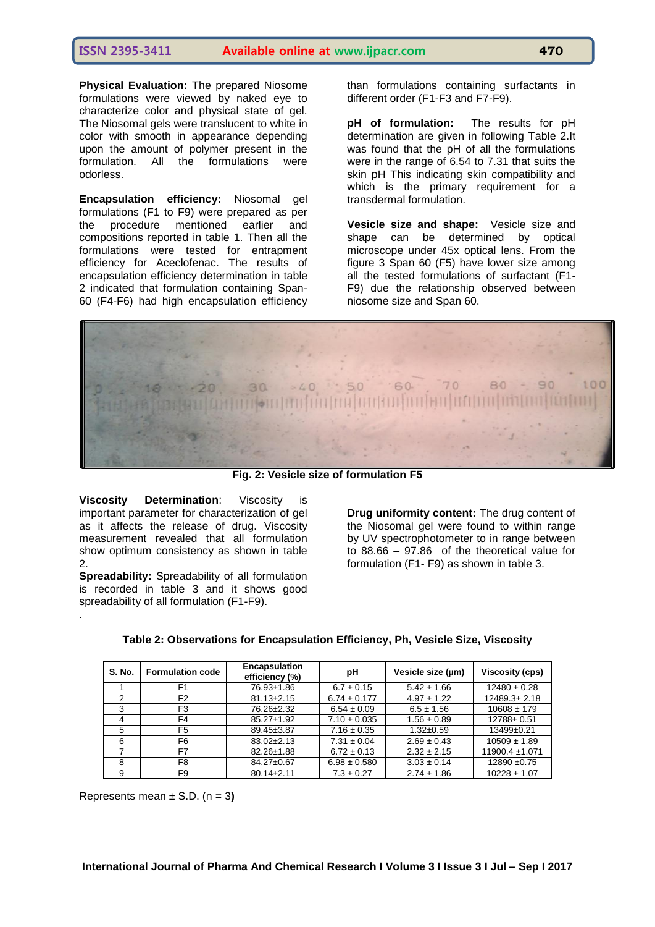**Physical Evaluation:** The prepared Niosome formulations were viewed by naked eye to characterize color and physical state of gel. The Niosomal gels were translucent to white in color with smooth in appearance depending upon the amount of polymer present in the formulation. All the formulations were odorless.

**Encapsulation efficiency:** Niosomal gel formulations (F1 to F9) were prepared as per the procedure mentioned earlier and compositions reported in table 1. Then all the formulations were tested for entrapment efficiency for Aceclofenac. The results of encapsulation efficiency determination in table 2 indicated that formulation containing Span-60 (F4-F6) had high encapsulation efficiency than formulations containing surfactants in different order (F1-F3 and F7-F9).

**pH of formulation:** The results for pH determination are given in following Table 2.It was found that the pH of all the formulations were in the range of 6.54 to 7.31 that suits the skin pH This indicating skin compatibility and which is the primary requirement for a transdermal formulation.

**Vesicle size and shape:** Vesicle size and shape can be determined by optical microscope under 45x optical lens. From the figure 3 Span 60 (F5) have lower size among all the tested formulations of surfactant (F1- F9) due the relationship observed between niosome size and Span 60.



**Fig. 2: Vesicle size of formulation F5**

**Viscosity Determination**: Viscosity is important parameter for characterization of gel as it affects the release of drug. Viscosity measurement revealed that all formulation show optimum consistency as shown in table 2.

**Spreadability:** Spreadability of all formulation is recorded in table 3 and it shows good spreadability of all formulation (F1-F9).

**Drug uniformity content:** The drug content of the Niosomal gel were found to within range by UV spectrophotometer to in range between to 88.66 – 97.86 of the theoretical value for formulation (F1- F9) as shown in table 3.

| <b>S. No.</b> | <b>Formulation code</b> | <b>Encapsulation</b><br>efficiency (%) | pH               | Vesicle size (um) | Viscosity (cps)    |
|---------------|-------------------------|----------------------------------------|------------------|-------------------|--------------------|
|               | F1                      | 76.93±1.86                             | $6.7 \pm 0.15$   | $5.42 \pm 1.66$   | $12480 \pm 0.28$   |
|               | F <sub>2</sub>          | $81.13 \pm 2.15$                       | $6.74 \pm 0.177$ | $4.97 \pm 1.22$   | $12489.3 \pm 2.18$ |
| 3             | F <sub>3</sub>          | 76.26±2.32                             | $6.54 \pm 0.09$  | $6.5 \pm 1.56$    | $10608 \pm 179$    |
| 4             | F4                      | $85.27 \pm 1.92$                       | $7.10 \pm 0.035$ | $1.56 \pm 0.89$   | 12788±0.51         |
| 5             | F <sub>5</sub>          | 89.45±3.87                             | $7.16 \pm 0.35$  | $1.32 + 0.59$     | $13499+0.21$       |
| 6             | F6                      | $83.02 \pm 2.13$                       | $7.31 \pm 0.04$  | $2.69 \pm 0.43$   | $10509 \pm 1.89$   |
|               | F7                      | 82.26±1.88                             | $6.72 \pm 0.13$  | $2.32 \pm 2.15$   | 11900.4 ±1.071     |
| 8             | F <sub>8</sub>          | 84.27±0.67                             | $6.98 \pm 0.580$ | $3.03 \pm 0.14$   | $12890 + 0.75$     |
| 9             | F9                      | $80.14 \pm 2.11$                       | $7.3 \pm 0.27$   | $2.74 \pm 1.86$   | $10228 \pm 1.07$   |

Represents mean ± S.D. (n = 3**)**

.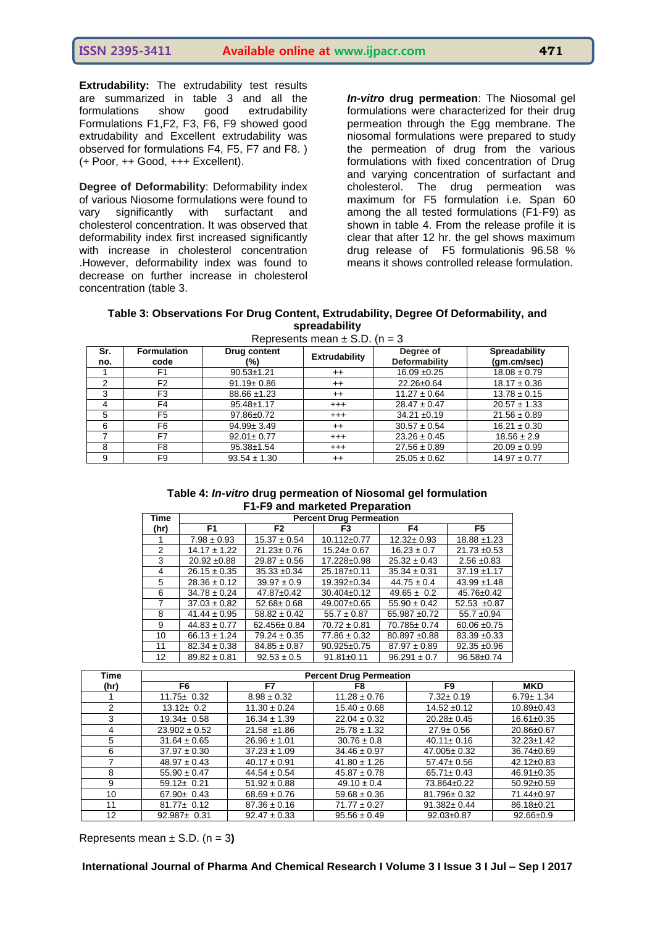**Extrudability:** The extrudability test results are summarized in table 3 and all the formulations show good extrudability Formulations F1,F2, F3, F6, F9 showed good extrudability and Excellent extrudability was observed for formulations F4, F5, F7 and F8. ) (+ Poor, ++ Good, +++ Excellent).

**Degree of Deformability**: Deformability index of various Niosome formulations were found to vary significantly with surfactant and cholesterol concentration. It was observed that deformability index first increased significantly with increase in cholesterol concentration .However, deformability index was found to decrease on further increase in cholesterol concentration (table 3.

*In-vitro* **drug permeation**: The Niosomal gel formulations were characterized for their drug permeation through the Egg membrane. The niosomal formulations were prepared to study the permeation of drug from the various formulations with fixed concentration of Drug and varying concentration of surfactant and cholesterol. The drug permeation was maximum for F5 formulation i.e. Span 60 among the all tested formulations  $(F1-F9)$  as shown in table 4. From the release profile it is clear that after 12 hr. the gel shows maximum drug release of F5 formulationis 96.58 % means it shows controlled release formulation.

| Table 3: Observations For Drug Content, Extrudability, Degree Of Deformability, and |  |  |  |  |  |  |  |  |
|-------------------------------------------------------------------------------------|--|--|--|--|--|--|--|--|
| spreadability                                                                       |  |  |  |  |  |  |  |  |
|                                                                                     |  |  |  |  |  |  |  |  |

| Represents mean $\pm$ 5.D. (n = 3) |                            |                     |               |                            |                              |  |  |
|------------------------------------|----------------------------|---------------------|---------------|----------------------------|------------------------------|--|--|
| Sr.<br>no.                         | <b>Formulation</b><br>code | Drug content<br>(%) | Extrudability | Degree of<br>Deformability | Spreadability<br>(gm.cm/sec) |  |  |
|                                    | F1                         | $90.53 \pm 1.21$    | $^{++}$       | $16.09 \pm 0.25$           | $18.08 \pm 0.79$             |  |  |
| 2                                  | F <sub>2</sub>             | $91.19 \pm 0.86$    | $^{++}$       | 22.26±0.64                 | $18.17 \pm 0.36$             |  |  |
| 3                                  | F <sub>3</sub>             | $88.66 \pm 1.23$    | $^{++}$       | $11.27 \pm 0.64$           | $13.78 \pm 0.15$             |  |  |
| 4                                  | F4                         | $95.48 \pm 1.17$    | $^{+++}$      | $28.47 \pm 0.47$           | $20.57 \pm 1.33$             |  |  |
| 5                                  | F <sub>5</sub>             | 97.86±0.72          | $^{+++}$      | $34.21 \pm 0.19$           | $21.56 \pm 0.89$             |  |  |
| 6                                  | F <sub>6</sub>             | $94.99 \pm 3.49$    | $^{++}$       | $30.57 \pm 0.54$           | $16.21 \pm 0.30$             |  |  |
|                                    | F7                         | $92.01 \pm 0.77$    | $^{+++}$      | $23.26 \pm 0.45$           | $18.56 \pm 2.9$              |  |  |
| 8                                  | F8                         | $95.38 \pm 1.54$    | $^{+++}$      | $27.56 \pm 0.89$           | $20.09 \pm 0.99$             |  |  |
| 9                                  | F9                         | $93.54 \pm 1.30$    | $++$          | $25.05 \pm 0.62$           | $14.97 \pm 0.77$             |  |  |

#### **Table 4:** *In-vitro* **drug permeation of Niosomal gel formulation F1-F9 and marketed Preparation**

| Time | <b>Percent Drug Permeation</b> |                   |                   |                  |                  |  |
|------|--------------------------------|-------------------|-------------------|------------------|------------------|--|
| (hr) | F1                             | F2                | F3                | F4               | F5               |  |
|      | $7.98 \pm 0.93$                | $15.37 \pm 0.54$  | $10.112 \pm 0.77$ | $12.32 \pm 0.93$ | $18.88 \pm 1.23$ |  |
| 2    | $14.17 \pm 1.22$               | $21.23 \pm 0.76$  | $15.24 \pm 0.67$  | $16.23 \pm 0.7$  | $21.73 \pm 0.53$ |  |
| 3    | $20.92 \pm 0.88$               | $29.87 \pm 0.56$  | 17.228±0.98       | $25.32 \pm 0.43$ | $2.56 \pm 0.83$  |  |
| 4    | $26.15 \pm 0.35$               | $35.33 \pm 0.34$  | 25.187±0.11       | $35.34 \pm 0.31$ | $37.19 \pm 1.17$ |  |
| 5    | $28.36 \pm 0.12$               | $39.97 \pm 0.9$   | $19.392 \pm 0.34$ | $44.75 \pm 0.4$  | $43.99 \pm 1.48$ |  |
| 6    | $34.78 \pm 0.24$               | $47.87 \pm 0.42$  | $30.404 \pm 0.12$ | $49.65 \pm 0.2$  | $45.76 \pm 0.42$ |  |
| 7    | $37.03 \pm 0.82$               | $52.68 \pm 0.68$  | $49.007 \pm 0.65$ | $55.90 \pm 0.42$ | $52.53 \pm 0.87$ |  |
| 8    | $41.44 \pm 0.95$               | $58.82 \pm 0.42$  | $55.7 \pm 0.87$   | $65.987 + 0.72$  | $55.7 \pm 0.94$  |  |
| 9    | $44.83 \pm 0.77$               | $62.456 \pm 0.84$ | $70.72 \pm 0.81$  | 70.785± 0.74     | $60.06 \pm 0.75$ |  |
| 10   | $66.13 \pm 1.24$               | $79.24 \pm 0.35$  | $77.86 \pm 0.32$  | 80.897 ±0.88     | $83.39 + 0.33$   |  |
| 11   | $82.34 \pm 0.38$               | $84.85 \pm 0.87$  | $90.925 \pm 0.75$ | $87.97 \pm 0.89$ | $92.35 + 0.96$   |  |
| 12   | $89.82 \pm 0.81$               | $92.53 \pm 0.5$   | $91.81 \pm 0.11$  | $96.291 \pm 0.7$ | 96.58±0.74       |  |

| Time | <b>Percent Drug Permeation</b> |                  |                  |                   |                  |  |
|------|--------------------------------|------------------|------------------|-------------------|------------------|--|
| (hr) | F6                             | F7               | F8               | F9                | <b>MKD</b>       |  |
|      | $11.75 \pm 0.32$               | $8.98 \pm 0.32$  | $11.28 \pm 0.76$ | $7.32 \pm 0.19$   | $6.79 \pm 1.34$  |  |
| 2    | $13.12 \pm 0.2$                | $11.30 \pm 0.24$ | $15.40 \pm 0.68$ | $14.52 + 0.12$    | $10.89 + 0.43$   |  |
| 3    | $19.34 \pm 0.58$               | $16.34 \pm 1.39$ | $22.04 \pm 0.32$ | $20.28 \pm 0.45$  | $16.61 \pm 0.35$ |  |
| 4    | $23.902 \pm 0.52$              | $21.58 \pm 1.86$ | $25.78 \pm 1.32$ | $27.9 \pm 0.56$   | 20.86±0.67       |  |
| 5    | $31.64 \pm 0.65$               | $26.96 \pm 1.01$ | $30.76 \pm 0.8$  | $40.11 \pm 0.16$  | $32.23 \pm 1.42$ |  |
| 6    | $37.97 \pm 0.30$               | $37.23 \pm 1.09$ | $34.46 \pm 0.97$ | $47.005 \pm 0.32$ | 36.74±0.69       |  |
| 7    | $48.97 \pm 0.43$               | $40.17 \pm 0.91$ | $41.80 \pm 1.26$ | $57.47 \pm 0.56$  | $42.12 \pm 0.83$ |  |
| 8    | $55.90 \pm 0.47$               | $44.54 \pm 0.54$ | $45.87 \pm 0.78$ | $65.71 \pm 0.43$  | $46.91 \pm 0.35$ |  |
| 9    | $59.12 \pm 0.21$               | $51.92 \pm 0.88$ | $49.10 \pm 0.4$  | 73.864±0.22       | $50.92 \pm 0.59$ |  |
| 10   | $67.90 \pm 0.43$               | $68.69 \pm 0.76$ | $59.68 \pm 0.36$ | 81.796±0.32       | 71.44±0.97       |  |
| 11   | $81.77 \pm 0.12$               | $87.36 \pm 0.16$ | $71.77 \pm 0.27$ | $91.382 \pm 0.44$ | 86.18±0.21       |  |
| 12   | $92.987 \pm 0.31$              | $92.47 \pm 0.33$ | $95.56 \pm 0.49$ | $92.03 \pm 0.87$  | $92.66 \pm 0.9$  |  |

Represents mean ± S.D. (n = 3**)**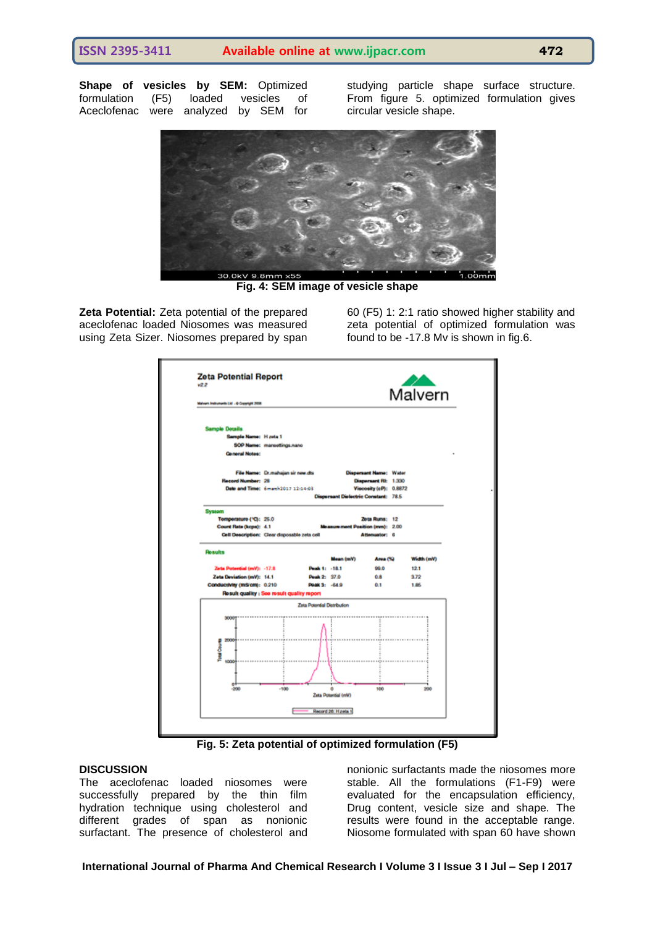**Shape of vesicles by SEM:** Optimized formulation (F5) loaded vesicles of Aceclofenac were analyzed by SEM for studying particle shape surface structure. From figure 5. optimized formulation gives circular vesicle shape.



**Fig. 4: SEM image of vesicle shape**

**Zeta Potential:** Zeta potential of the prepared aceclofenac loaded Niosomes was measured using Zeta Sizer. Niosomes prepared by span 60 (F5) 1: 2:1 ratio showed higher stability and zeta potential of optimized formulation was found to be -17.8 Mv is shown in fig.6.



**Fig. 5: Zeta potential of optimized formulation (F5)**

#### **DISCUSSION**

The aceclofenac loaded niosomes were successfully prepared by the thin film hydration technique using cholesterol and different grades of span as nonionic surfactant. The presence of cholesterol and nonionic surfactants made the niosomes more stable. All the formulations (F1-F9) were evaluated for the encapsulation efficiency, Drug content, vesicle size and shape. The results were found in the acceptable range. Niosome formulated with span 60 have shown